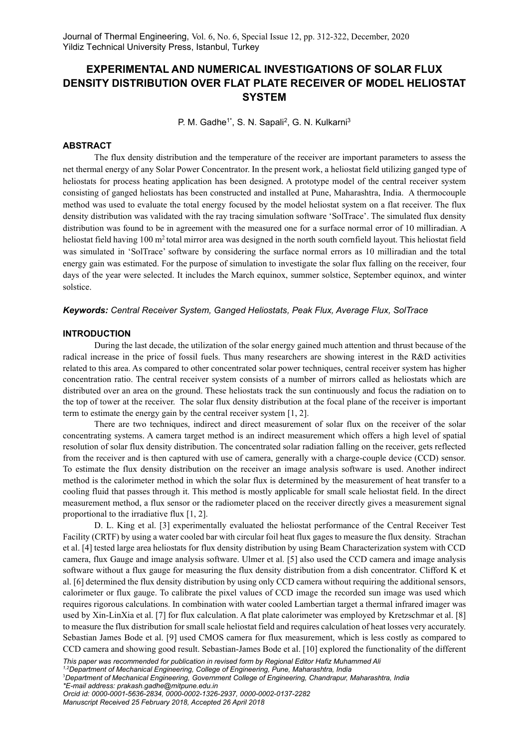# EXPERIMENTAL AND NUMERICAL INVESTIGATIONS OF SOLAR FLUX DENSITY DISTRIBUTION OVER FLAT PLATE RECEIVER OF MODEL HELIOSTAT **SYSTEM**

P. M. Gadhe<sup>1\*</sup>, S. N. Sapali<sup>2</sup>, G. N. Kulkarni<sup>3</sup>

# ABSTRACT

The flux density distribution and the temperature of the receiver are important parameters to assess the net thermal energy of any Solar Power Concentrator. In the present work, a heliostat field utilizing ganged type of heliostats for process heating application has been designed. A prototype model of the central receiver system consisting of ganged heliostats has been constructed and installed at Pune, Maharashtra, India. A thermocouple method was used to evaluate the total energy focused by the model heliostat system on a flat receiver. The flux density distribution was validated with the ray tracing simulation software 'SolTrace'. The simulated flux density distribution was found to be in agreement with the measured one for a surface normal error of 10 milliradian. A heliostat field having 100 m<sup>2</sup> total mirror area was designed in the north south cornfield layout. This heliostat field was simulated in 'SolTrace' software by considering the surface normal errors as 10 milliradian and the total energy gain was estimated. For the purpose of simulation to investigate the solar flux falling on the receiver, four days of the year were selected. It includes the March equinox, summer solstice, September equinox, and winter solstice.

## Keywords: Central Receiver System, Ganged Heliostats, Peak Flux, Average Flux, SolTrace

## INTRODUCTION

During the last decade, the utilization of the solar energy gained much attention and thrust because of the radical increase in the price of fossil fuels. Thus many researchers are showing interest in the R&D activities related to this area. As compared to other concentrated solar power techniques, central receiver system has higher concentration ratio. The central receiver system consists of a number of mirrors called as heliostats which are distributed over an area on the ground. These heliostats track the sun continuously and focus the radiation on to the top of tower at the receiver. The solar flux density distribution at the focal plane of the receiver is important term to estimate the energy gain by the central receiver system [1, 2].

There are two techniques, indirect and direct measurement of solar flux on the receiver of the solar concentrating systems. A camera target method is an indirect measurement which offers a high level of spatial resolution of solar flux density distribution. The concentrated solar radiation falling on the receiver, gets reflected from the receiver and is then captured with use of camera, generally with a charge-couple device (CCD) sensor. To estimate the flux density distribution on the receiver an image analysis software is used. Another indirect method is the calorimeter method in which the solar flux is determined by the measurement of heat transfer to a cooling fluid that passes through it. This method is mostly applicable for small scale heliostat field. In the direct measurement method, a flux sensor or the radiometer placed on the receiver directly gives a measurement signal proportional to the irradiative flux [1, 2].

D. L. King et al. [3] experimentally evaluated the heliostat performance of the Central Receiver Test Facility (CRTF) by using a water cooled bar with circular foil heat flux gages to measure the flux density. Strachan et al. [4] tested large area heliostats for flux density distribution by using Beam Characterization system with CCD camera, flux Gauge and image analysis software. Ulmer et al. [5] also used the CCD camera and image analysis software without a flux gauge for measuring the flux density distribution from a dish concentrator. Clifford K et al. [6] determined the flux density distribution by using only CCD camera without requiring the additional sensors, calorimeter or flux gauge. To calibrate the pixel values of CCD image the recorded sun image was used which requires rigorous calculations. In combination with water cooled Lambertian target a thermal infrared imager was used by Xin-LinXia et al. [7] for flux calculation. A flat plate calorimeter was employed by Kretzschmar et al. [8] to measure the flux distribution for small scale heliostat field and requires calculation of heat losses very accurately. Sebastian James Bode et al. [9] used CMOS camera for flux measurement, which is less costly as compared to CCD camera and showing good result. Sebastian-James Bode et al. [10] explored the functionality of the different

This paper was recommended for publication in revised form by Regional Editor Hafiz Muhammed Ali

<sup>1,2</sup>Department of Mechanical Engineering, College of Engineering, Pune, Maharashtra, India

<sup>3</sup>Department of Mechanical Engineering, Government College of Engineering, Chandrapur, Maharashtra, India \*E-mail address: prakash.gadhe@mitpune.edu.in

Orcid id: 0000-0001-5636-2834, 0000-0002-1326-2937, 0000-0002-0137-2282 Manuscript Received 25 February 2018, Accepted 26 April 2018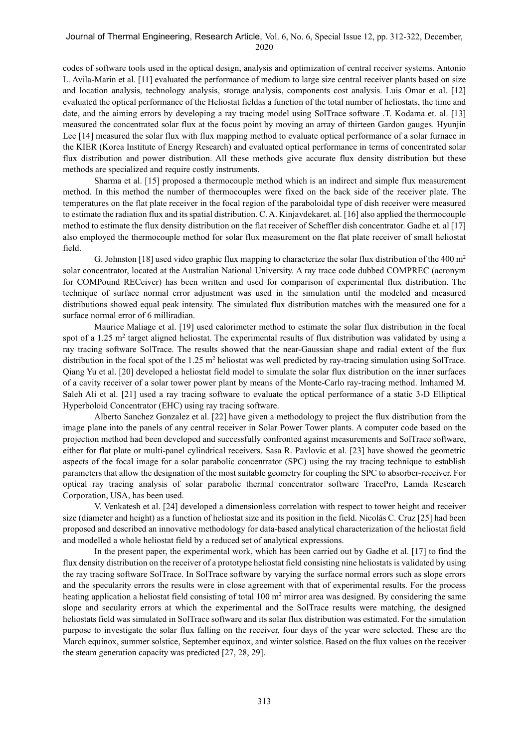codes of software tools used in the optical design, analysis and optimization of central receiver systems. Antonio L. Avila-Marin et al. [11] evaluated the performance of medium to large size central receiver plants based on size and location analysis, technology analysis, storage analysis, components cost analysis. Luis Omar et al. [12] evaluated the optical performance of the Heliostat fieldas a function of the total number of heliostats, the time and date, and the aiming errors by developing a ray tracing model using SolTrace software .T. Kodama et. al. [13] measured the concentrated solar flux at the focus point by moving an array of thirteen Gardon gauges. Hyunjin Lee [14] measured the solar flux with flux mapping method to evaluate optical performance of a solar furnace in the KIER (Korea Institute of Energy Research) and evaluated optical performance in terms of concentrated solar flux distribution and power distribution. All these methods give accurate flux density distribution but these methods are specialized and require costly instruments.

Sharma et al. [15] proposed a thermocouple method which is an indirect and simple flux measurement method. In this method the number of thermocouples were fixed on the back side of the receiver plate. The temperatures on the flat plate receiver in the focal region of the paraboloidal type of dish receiver were measured to estimate the radiation flux and its spatial distribution. C. A. Kinjavdekaret. al. [16] also applied the thermocouple method to estimate the flux density distribution on the flat receiver of Scheffler dish concentrator. Gadhe et. al [17] also employed the thermocouple method for solar flux measurement on the flat plate receiver of small heliostat field.

G. Johnston [18] used video graphic flux mapping to characterize the solar flux distribution of the 400 m<sup>2</sup> solar concentrator, located at the Australian National University. A ray trace code dubbed COMPREC (acronym for COMPound RECeiver) has been written and used for comparison of experimental flux distribution. The technique of surface normal error adjustment was used in the simulation until the modeled and measured distributions showed equal peak intensity. The simulated flux distribution matches with the measured one for a surface normal error of 6 milliradian.

Maurice Maliage et al. [19] used calorimeter method to estimate the solar flux distribution in the focal spot of a 1.25 m<sup>2</sup> target aligned heliostat. The experimental results of flux distribution was validated by using a ray tracing software SolTrace. The results showed that the near-Gaussian shape and radial extent of the flux distribution in the focal spot of the  $1.25 \text{ m}^2$  heliostat was well predicted by ray-tracing simulation using SolTrace. Qiang Yu et al. [20] developed a heliostat field model to simulate the solar flux distribution on the inner surfaces of a cavity receiver of a solar tower power plant by means of the Monte-Carlo ray-tracing method. Imhamed M. Saleh Ali et al. [21] used a ray tracing software to evaluate the optical performance of a static 3-D Elliptical Hyperboloid Concentrator (EHC) using ray tracing software.

Alberto Sanchez Gonzalez et al. [22] have given a methodology to project the flux distribution from the image plane into the panels of any central receiver in Solar Power Tower plants. A computer code based on the projection method had been developed and successfully confronted against measurements and SolTrace software, either for flat plate or multi-panel cylindrical receivers. Sasa R. Pavlovic et al. [23] have showed the geometric aspects of the focal image for a solar parabolic concentrator (SPC) using the ray tracing technique to establish parameters that allow the designation of the most suitable geometry for coupling the SPC to absorber-receiver. For optical ray tracing analysis of solar parabolic thermal concentrator software TracePro, Lamda Research Corporation, USA, has been used.

V. Venkatesh et al. [24] developed a dimensionless correlation with respect to tower height and receiver size (diameter and height) as a function of heliostat size and its position in the field. Nicolás C. Cruz [25] had been proposed and described an innovative methodology for data-based analytical characterization of the heliostat field and modelled a whole heliostat field by a reduced set of analytical expressions.

In the present paper, the experimental work, which has been carried out by Gadhe et al. [17] to find the flux density distribution on the receiver of a prototype heliostat field consisting nine heliostats is validated by using the ray tracing software SolTrace. In SolTrace software by varying the surface normal errors such as slope errors and the specularity errors the results were in close agreement with that of experimental results. For the process heating application a heliostat field consisting of total 100 m<sup>2</sup> mirror area was designed. By considering the same slope and secularity errors at which the experimental and the SolTrace results were matching, the designed heliostats field was simulated in SolTrace software and its solar flux distribution was estimated. For the simulation purpose to investigate the solar flux falling on the receiver, four days of the year were selected. These are the March equinox, summer solstice, September equinox, and winter solstice. Based on the flux values on the receiver the steam generation capacity was predicted [27, 28, 29].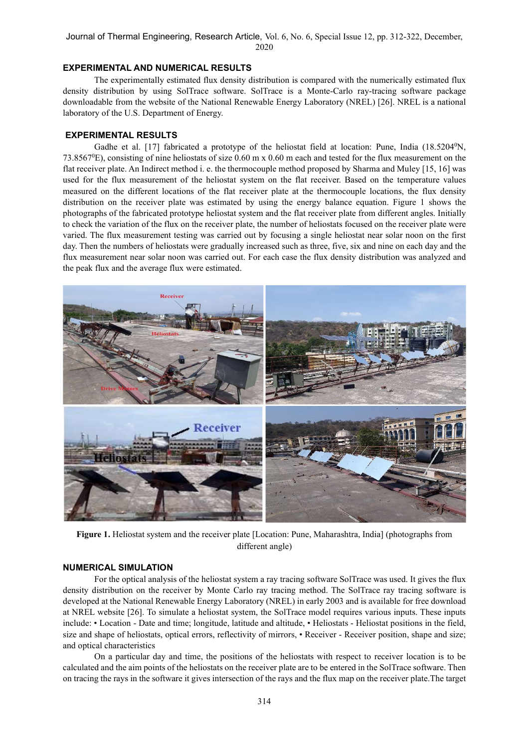#### EXPERIMENTAL AND NUMERICAL RESULTS

The experimentally estimated flux density distribution is compared with the numerically estimated flux density distribution by using SolTrace software. SolTrace is a Monte-Carlo ray-tracing software package downloadable from the website of the National Renewable Energy Laboratory (NREL) [26]. NREL is a national laboratory of the U.S. Department of Energy.

# EXPERIMENTAL RESULTS

Gadhe et al. [17] fabricated a prototype of the heliostat field at location: Pune, India (18.5204<sup>0</sup>N, 73.8567<sup>0</sup>E), consisting of nine heliostats of size 0.60 m x 0.60 m each and tested for the flux measurement on the flat receiver plate. An Indirect method i. e. the thermocouple method proposed by Sharma and Muley [15, 16] was used for the flux measurement of the heliostat system on the flat receiver. Based on the temperature values measured on the different locations of the flat receiver plate at the thermocouple locations, the flux density distribution on the receiver plate was estimated by using the energy balance equation. Figure 1 shows the photographs of the fabricated prototype heliostat system and the flat receiver plate from different angles. Initially to check the variation of the flux on the receiver plate, the number of heliostats focused on the receiver plate were varied. The flux measurement testing was carried out by focusing a single heliostat near solar noon on the first day. Then the numbers of heliostats were gradually increased such as three, five, six and nine on each day and the flux measurement near solar noon was carried out. For each case the flux density distribution was analyzed and the peak flux and the average flux were estimated.



Figure 1. Heliostat system and the receiver plate [Location: Pune, Maharashtra, India] (photographs from different angle)

# NUMERICAL SIMULATION

For the optical analysis of the heliostat system a ray tracing software SolTrace was used. It gives the flux density distribution on the receiver by Monte Carlo ray tracing method. The SolTrace ray tracing software is developed at the National Renewable Energy Laboratory (NREL) in early 2003 and is available for free download at NREL website [26]. To simulate a heliostat system, the SolTrace model requires various inputs. These inputs include: • Location - Date and time; longitude, latitude and altitude, • Heliostats - Heliostat positions in the field, size and shape of heliostats, optical errors, reflectivity of mirrors, • Receiver - Receiver position, shape and size; and optical characteristics

On a particular day and time, the positions of the heliostats with respect to receiver location is to be calculated and the aim points of the heliostats on the receiver plate are to be entered in the SolTrace software. Then on tracing the rays in the software it gives intersection of the rays and the flux map on the receiver plate.The target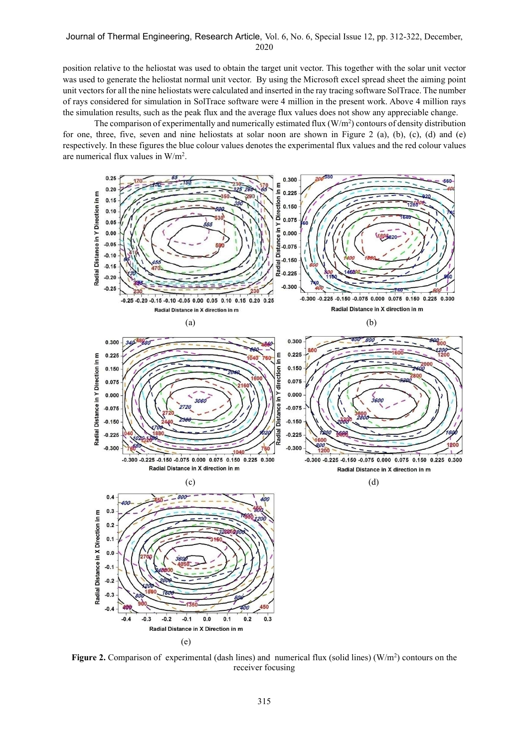position relative to the heliostat was used to obtain the target unit vector. This together with the solar unit vector was used to generate the heliostat normal unit vector. By using the Microsoft excel spread sheet the aiming point unit vectors for all the nine heliostats were calculated and inserted in the ray tracing software SolTrace. The number of rays considered for simulation in SolTrace software were 4 million in the present work. Above 4 million rays the simulation results, such as the peak flux and the average flux values does not show any appreciable change.

The comparison of experimentally and numerically estimated flux  $(W/m<sup>2</sup>)$  contours of density distribution for one, three, five, seven and nine heliostats at solar noon are shown in Figure 2 (a), (b), (c), (d) and (e) respectively. In these figures the blue colour values denotes the experimental flux values and the red colour values are numerical flux values in W/m<sup>2</sup> .



Figure 2. Comparison of experimental (dash lines) and numerical flux (solid lines) ( $W/m<sup>2</sup>$ ) contours on the receiver focusing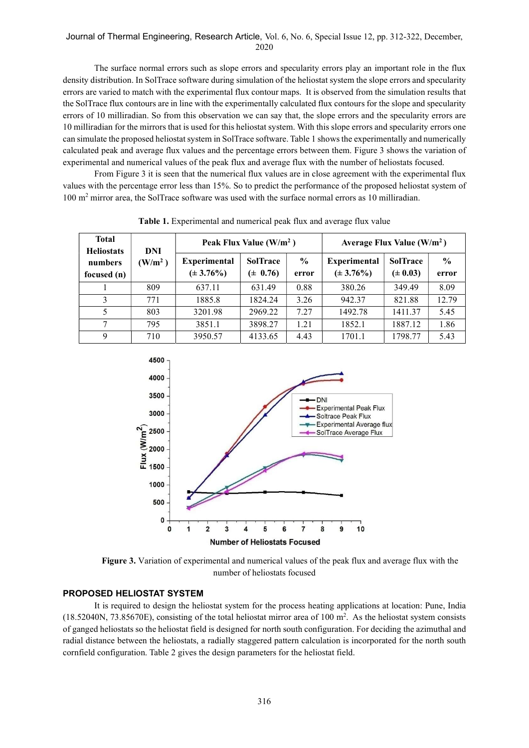The surface normal errors such as slope errors and specularity errors play an important role in the flux density distribution. In SolTrace software during simulation of the heliostat system the slope errors and specularity errors are varied to match with the experimental flux contour maps. It is observed from the simulation results that the SolTrace flux contours are in line with the experimentally calculated flux contours for the slope and specularity errors of 10 milliradian. So from this observation we can say that, the slope errors and the specularity errors are 10 milliradian for the mirrors that is used for this heliostat system. With this slope errors and specularity errors one can simulate the proposed heliostat system in SolTrace software. Table 1 shows the experimentally and numerically calculated peak and average flux values and the percentage errors between them. Figure 3 shows the variation of experimental and numerical values of the peak flux and average flux with the number of heliostats focused.

From Figure 3 it is seen that the numerical flux values are in close agreement with the experimental flux values with the percentage error less than 15%. So to predict the performance of the proposed heliostat system of 100 m<sup>2</sup> mirror area, the SolTrace software was used with the surface normal errors as 10 milliradian.

| <b>Total</b><br><b>Heliostats</b> | DNI                 | Peak Flux Value $(W/m^2)$             |                                 |                        | Average Flux Value $(W/m^2)$          |                                 |                        |
|-----------------------------------|---------------------|---------------------------------------|---------------------------------|------------------------|---------------------------------------|---------------------------------|------------------------|
| numbers<br>focused (n)            | (W/m <sup>2</sup> ) | <b>Experimental</b><br>$(\pm 3.76\%)$ | <b>SolTrace</b><br>$(\pm 0.76)$ | $\frac{0}{0}$<br>error | <b>Experimental</b><br>$(\pm 3.76\%)$ | <b>SolTrace</b><br>$(\pm 0.03)$ | $\frac{0}{0}$<br>error |
|                                   | 809                 | 637.11                                | 631.49                          | 0.88                   | 380.26                                | 349.49                          | 8.09                   |
| 3                                 | 771                 | 1885.8                                | 1824.24                         | 3.26                   | 942.37                                | 821.88                          | 12.79                  |
|                                   | 803                 | 3201.98                               | 2969.22                         | 7.27                   | 1492.78                               | 1411.37                         | 5.45                   |
|                                   | 795                 | 3851.1                                | 3898.27                         | 1.21                   | 1852.1                                | 1887.12                         | 1.86                   |
| Q                                 | 710                 | 3950.57                               | 4133.65                         | 4.43                   | 1701.1                                | 1798.77                         | 5.43                   |

Table 1. Experimental and numerical peak flux and average flux value



Figure 3. Variation of experimental and numerical values of the peak flux and average flux with the number of heliostats focused

# PROPOSED HELIOSTAT SYSTEM

It is required to design the heliostat system for the process heating applications at location: Pune, India  $(18.52040N, 73.85670E)$ , consisting of the total heliostat mirror area of 100 m<sup>2</sup>. As the heliostat system consists of ganged heliostats so the heliostat field is designed for north south configuration. For deciding the azimuthal and radial distance between the heliostats, a radially staggered pattern calculation is incorporated for the north south cornfield configuration. Table 2 gives the design parameters for the heliostat field.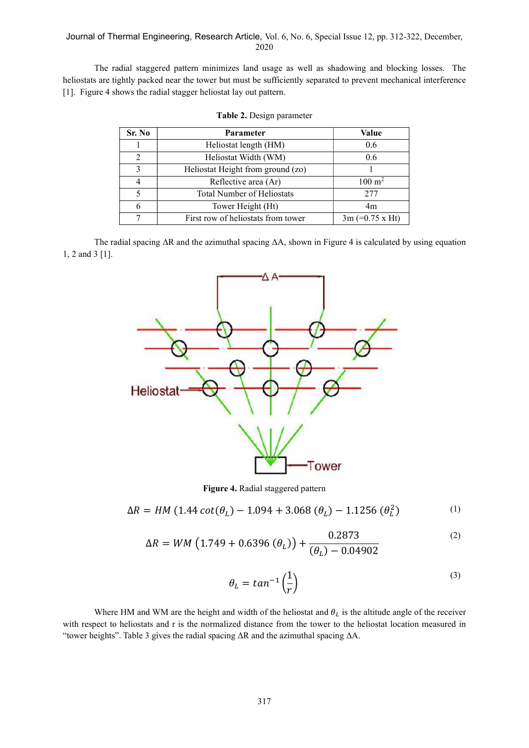The radial staggered pattern minimizes land usage as well as shadowing and blocking losses. The heliostats are tightly packed near the tower but must be sufficiently separated to prevent mechanical interference [1]. Figure 4 shows the radial stagger heliostat lay out pattern.

| Sr. No | Parameter                          | Value                  |
|--------|------------------------------------|------------------------|
|        | Heliostat length (HM)              | 0.6                    |
|        | Heliostat Width (WM)               | 0.6                    |
| 3      | Heliostat Height from ground (zo)  |                        |
|        | Reflective area (Ar)               | $100 \; \mathrm{m}^2$  |
|        | <b>Total Number of Heliostats</b>  | 2.77                   |
| 6      | Tower Height (Ht)                  | 4m                     |
|        | First row of heliostats from tower | $3m (=0.75 \times Ht)$ |

|  | Table 2. Design parameter |
|--|---------------------------|
|  |                           |

The radial spacing ΔR and the azimuthal spacing ΔA, shown in Figure 4 is calculated by using equation 1, 2 and 3 [1].



Figure 4. Radial staggered pattern

$$
\Delta R = HM (1.44 \cot(\theta_L) - 1.094 + 3.068 (\theta_L) - 1.1256 (\theta_L^2)
$$
 (1)

$$
\Delta R = WM \left( 1.749 + 0.6396 \left( \theta_L \right) \right) + \frac{0.2873}{\left( \theta_L \right) - 0.04902} \tag{2}
$$

$$
\theta_L = \tan^{-1}\left(\frac{1}{r}\right) \tag{3}
$$

Where HM and WM are the height and width of the heliostat and  $\theta_L$  is the altitude angle of the receiver with respect to heliostats and r is the normalized distance from the tower to the heliostat location measured in "tower heights". Table 3 gives the radial spacing ΔR and the azimuthal spacing ΔA.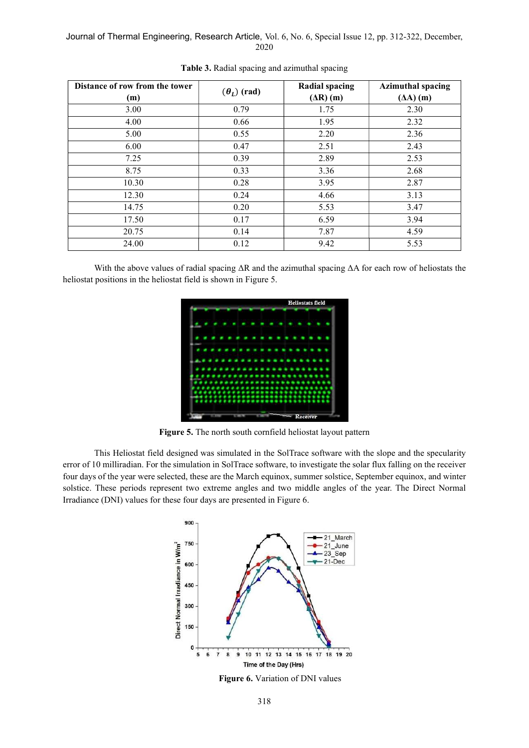| Distance of row from the tower<br>(m) | $(\theta_L)$ (rad) | <b>Radial spacing</b><br>$(\Delta R)$ (m) | <b>Azimuthal spacing</b><br>$(\Delta A)$ (m) |
|---------------------------------------|--------------------|-------------------------------------------|----------------------------------------------|
| 3.00                                  | 0.79               | 1.75                                      | 2.30                                         |
| 4.00                                  | 0.66               | 1.95                                      | 2.32                                         |
| 5.00                                  | 0.55               | 2.20                                      | 2.36                                         |
| 6.00                                  | 0.47               | 2.51                                      | 2.43                                         |
| 7.25                                  | 0.39               | 2.89                                      | 2.53                                         |
| 8.75                                  | 0.33               | 3.36                                      | 2.68                                         |
| 10.30                                 | 0.28               | 3.95                                      | 2.87                                         |
| 12.30                                 | 0.24               | 4.66                                      | 3.13                                         |
| 14.75                                 | 0.20               | 5.53                                      | 3.47                                         |
| 17.50                                 | 0.17               | 6.59                                      | 3.94                                         |
| 20.75                                 | 0.14               | 7.87                                      | 4.59                                         |
| 24.00                                 | 0.12               | 9.42                                      | 5.53                                         |

Table 3. Radial spacing and azimuthal spacing

With the above values of radial spacing ΔR and the azimuthal spacing ΔA for each row of heliostats the heliostat positions in the heliostat field is shown in Figure 5.



Figure 5. The north south cornfield heliostat layout pattern

This Heliostat field designed was simulated in the SolTrace software with the slope and the specularity error of 10 milliradian. For the simulation in SolTrace software, to investigate the solar flux falling on the receiver four days of the year were selected, these are the March equinox, summer solstice, September equinox, and winter solstice. These periods represent two extreme angles and two middle angles of the year. The Direct Normal Irradiance (DNI) values for these four days are presented in Figure 6.



Figure 6. Variation of DNI values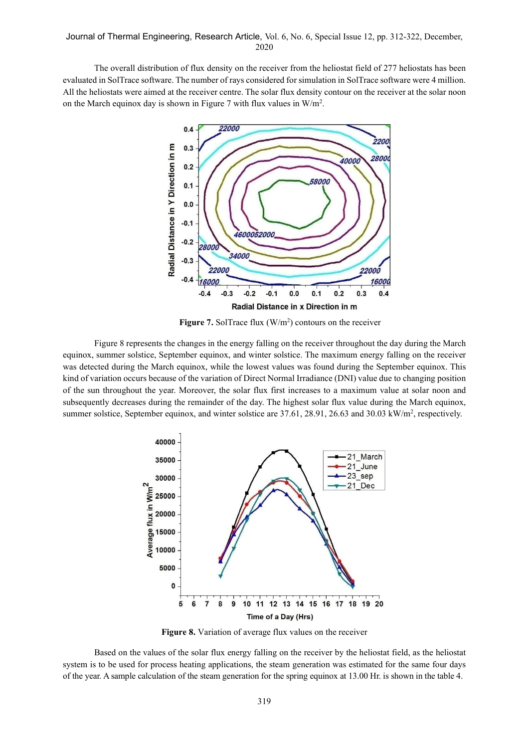The overall distribution of flux density on the receiver from the heliostat field of 277 heliostats has been evaluated in SolTrace software. The number of rays considered for simulation in SolTrace software were 4 million. All the heliostats were aimed at the receiver centre. The solar flux density contour on the receiver at the solar noon on the March equinox day is shown in Figure 7 with flux values in  $W/m^2$ .



Figure 7. SolTrace flux  $(W/m^2)$  contours on the receiver

Figure 8 represents the changes in the energy falling on the receiver throughout the day during the March equinox, summer solstice, September equinox, and winter solstice. The maximum energy falling on the receiver was detected during the March equinox, while the lowest values was found during the September equinox. This kind of variation occurs because of the variation of Direct Normal Irradiance (DNI) value due to changing position of the sun throughout the year. Moreover, the solar flux first increases to a maximum value at solar noon and subsequently decreases during the remainder of the day. The highest solar flux value during the March equinox, summer solstice, September equinox, and winter solstice are 37.61, 28.91, 26.63 and 30.03 kW/m<sup>2</sup>, respectively.



Figure 8. Variation of average flux values on the receiver

Based on the values of the solar flux energy falling on the receiver by the heliostat field, as the heliostat system is to be used for process heating applications, the steam generation was estimated for the same four days of the year. A sample calculation of the steam generation for the spring equinox at 13.00 Hr. is shown in the table 4.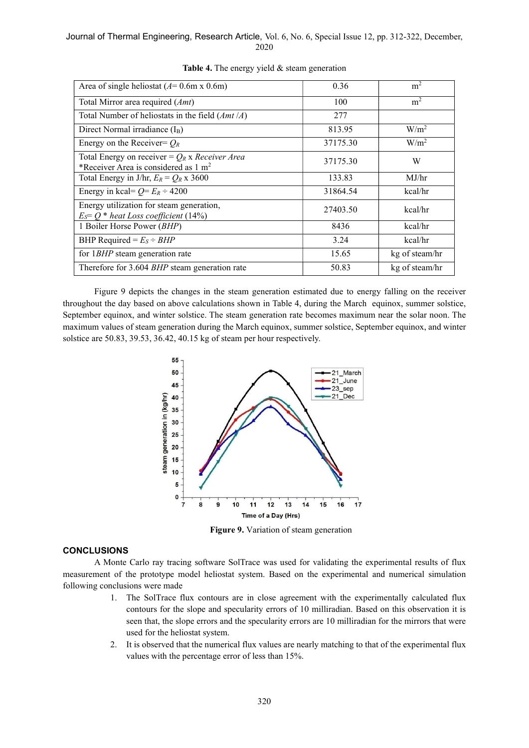| Area of single heliostat ( $A$ = 0.6m x 0.6m)                                                       | 0.36     | m <sup>2</sup>   |
|-----------------------------------------------------------------------------------------------------|----------|------------------|
| Total Mirror area required (Amt)                                                                    | 100      | m <sup>2</sup>   |
| Total Number of heliostats in the field $(Amt/A)$                                                   | 277      |                  |
| Direct Normal irradiance $(I_B)$                                                                    | 813.95   | W/m <sup>2</sup> |
| Energy on the Receiver= $Q_R$                                                                       | 37175.30 | W/m <sup>2</sup> |
| Total Energy on receiver = $Q_R$ x Receiver Area<br>*Receiver Area is considered as $1 \text{ m}^2$ | 37175.30 | W                |
| Total Energy in J/hr, $E_R = Q_R$ x 3600                                                            | 133.83   | MJ/hr            |
| Energy in kcal= $Q = E_R \div 4200$                                                                 | 31864.54 | kcal/hr          |
| Energy utilization for steam generation,<br>$E_S = Q^*$ heat Loss coefficient (14%)                 | 27403.50 | kcal/hr          |
| 1 Boiler Horse Power (BHP)                                                                          | 8436     | kcal/hr          |
| BHP Required = $E_S \div BHP$                                                                       | 3.24     | kcal/hr          |
| for 1BHP steam generation rate                                                                      | 15.65    | kg of steam/hr   |
| Therefore for 3.604 BHP steam generation rate                                                       | 50.83    | kg of steam/hr   |

Table 4. The energy yield & steam generation

Figure 9 depicts the changes in the steam generation estimated due to energy falling on the receiver throughout the day based on above calculations shown in Table 4, during the March equinox, summer solstice, September equinox, and winter solstice. The steam generation rate becomes maximum near the solar noon. The maximum values of steam generation during the March equinox, summer solstice, September equinox, and winter solstice are 50.83, 39.53, 36.42, 40.15 kg of steam per hour respectively.



Figure 9. Variation of steam generation

# **CONCLUSIONS**

A Monte Carlo ray tracing software SolTrace was used for validating the experimental results of flux measurement of the prototype model heliostat system. Based on the experimental and numerical simulation following conclusions were made

- 1. The SolTrace flux contours are in close agreement with the experimentally calculated flux contours for the slope and specularity errors of 10 milliradian. Based on this observation it is seen that, the slope errors and the specularity errors are 10 milliradian for the mirrors that were used for the heliostat system.
- 2. It is observed that the numerical flux values are nearly matching to that of the experimental flux values with the percentage error of less than 15%.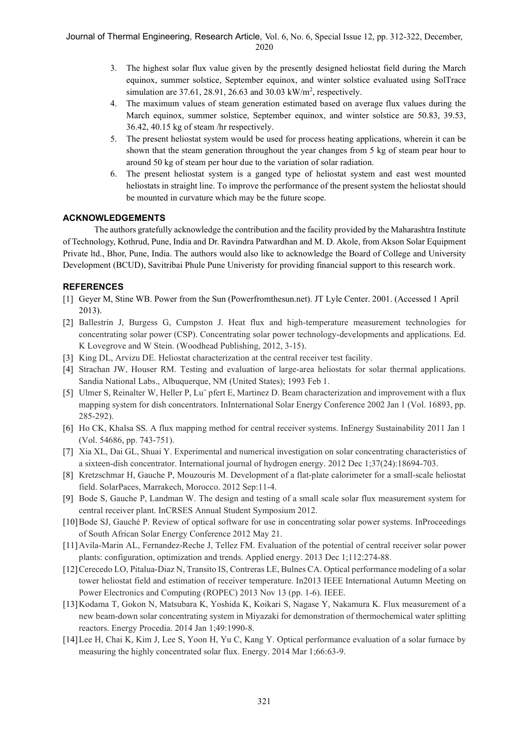- 3. The highest solar flux value given by the presently designed heliostat field during the March equinox, summer solstice, September equinox, and winter solstice evaluated using SolTrace simulation are  $37.61$ ,  $28.91$ ,  $26.63$  and  $30.03$  kW/m<sup>2</sup>, respectively.
- 4. The maximum values of steam generation estimated based on average flux values during the March equinox, summer solstice, September equinox, and winter solstice are 50.83, 39.53, 36.42, 40.15 kg of steam /hr respectively.
- 5. The present heliostat system would be used for process heating applications, wherein it can be shown that the steam generation throughout the year changes from 5 kg of steam pear hour to around 50 kg of steam per hour due to the variation of solar radiation.
- 6. The present heliostat system is a ganged type of heliostat system and east west mounted heliostats in straight line. To improve the performance of the present system the heliostat should be mounted in curvature which may be the future scope.

# ACKNOWLEDGEMENTS

The authors gratefully acknowledge the contribution and the facility provided by the Maharashtra Institute of Technology, Kothrud, Pune, India and Dr. Ravindra Patwardhan and M. D. Akole, from Akson Solar Equipment Private ltd., Bhor, Pune, India. The authors would also like to acknowledge the Board of College and University Development (BCUD), Savitribai Phule Pune Univeristy for providing financial support to this research work.

# REFERENCES

- [1] Geyer M, Stine WB. Power from the Sun (Powerfromthesun.net). JT Lyle Center. 2001. (Accessed 1 April 2013).
- [2] Ballestrín J, Burgess G, Cumpston J. Heat flux and high-temperature measurement technologies for concentrating solar power (CSP). Concentrating solar power technology-developments and applications. Ed. K Lovegrove and W Stein. (Woodhead Publishing, 2012, 3-15).
- [3] King DL, Arvizu DE. Heliostat characterization at the central receiver test facility.
- [4] Strachan JW, Houser RM. Testing and evaluation of large-area heliostats for solar thermal applications. Sandia National Labs., Albuquerque, NM (United States); 1993 Feb 1.
- [5] Ulmer S, Reinalter W, Heller P, Lu¨ pfert E, Martinez D. Beam characterization and improvement with a flux mapping system for dish concentrators. InInternational Solar Energy Conference 2002 Jan 1 (Vol. 16893, pp. 285-292).
- [6] Ho CK, Khalsa SS. A flux mapping method for central receiver systems. InEnergy Sustainability 2011 Jan 1 (Vol. 54686, pp. 743-751).
- [7] Xia XL, Dai GL, Shuai Y. Experimental and numerical investigation on solar concentrating characteristics of a sixteen-dish concentrator. International journal of hydrogen energy. 2012 Dec 1;37(24):18694-703.
- [8] Kretzschmar H, Gauche P, Mouzouris M. Development of a flat-plate calorimeter for a small-scale heliostat field. SolarPaces, Marrakech, Morocco. 2012 Sep:11-4.
- [9] Bode S, Gauche P, Landman W. The design and testing of a small scale solar flux measurement system for central receiver plant. InCRSES Annual Student Symposium 2012.
- [10]Bode SJ, Gauché P. Review of optical software for use in concentrating solar power systems. InProceedings of South African Solar Energy Conference 2012 May 21.
- [11] Avila-Marin AL, Fernandez-Reche J, Tellez FM. Evaluation of the potential of central receiver solar power plants: configuration, optimization and trends. Applied energy. 2013 Dec 1;112:274-88.
- [12]Cerecedo LO, Pitalua-Diaz N, Transito IS, Contreras LE, Bulnes CA. Optical performance modeling of a solar tower heliostat field and estimation of receiver temperature. In2013 IEEE International Autumn Meeting on Power Electronics and Computing (ROPEC) 2013 Nov 13 (pp. 1-6). IEEE.
- [13]Kodama T, Gokon N, Matsubara K, Yoshida K, Koikari S, Nagase Y, Nakamura K. Flux measurement of a new beam-down solar concentrating system in Miyazaki for demonstration of thermochemical water splitting reactors. Energy Procedia. 2014 Jan 1;49:1990-8.
- [14]Lee H, Chai K, Kim J, Lee S, Yoon H, Yu C, Kang Y. Optical performance evaluation of a solar furnace by measuring the highly concentrated solar flux. Energy. 2014 Mar 1;66:63-9.